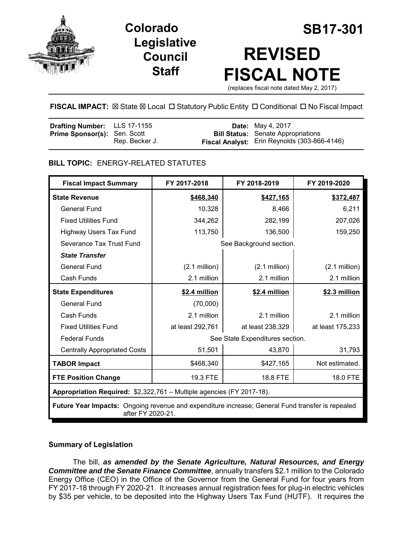

## **Legislative Council Staff**

# **Colorado SB17-301 REVISED FISCAL NOTE**

(replaces fiscal note dated May 2, 2017)

#### **FISCAL IMPACT:** ⊠ State ⊠ Local □ Statutory Public Entity □ Conditional □ No Fiscal Impact

| Drafting Number: LLS 17-1155        |                | <b>Date:</b> May 4, 2017                     |
|-------------------------------------|----------------|----------------------------------------------|
| <b>Prime Sponsor(s): Sen. Scott</b> |                | <b>Bill Status:</b> Senate Appropriations    |
|                                     | Rep. Becker J. | Fiscal Analyst: Erin Reynolds (303-866-4146) |

#### **BILL TOPIC:** ENERGY-RELATED STATUTES

| <b>Fiscal Impact Summary</b>                                                                                          | FY 2017-2018                    | FY 2018-2019            | FY 2019-2020     |  |  |
|-----------------------------------------------------------------------------------------------------------------------|---------------------------------|-------------------------|------------------|--|--|
| <b>State Revenue</b>                                                                                                  | \$468,340                       | \$427,165               | \$372,487        |  |  |
| <b>General Fund</b>                                                                                                   | 10,328                          | 8,466                   | 6,211            |  |  |
| <b>Fixed Utilities Fund</b>                                                                                           | 344,262                         | 282,199                 | 207,026          |  |  |
| Highway Users Tax Fund                                                                                                | 113,750                         | 136,500                 | 159,250          |  |  |
| Severance Tax Trust Fund                                                                                              |                                 | See Background section. |                  |  |  |
| <b>State Transfer</b>                                                                                                 |                                 |                         |                  |  |  |
| <b>General Fund</b>                                                                                                   | $(2.1 \text{ million})$         | $(2.1$ million)         | $(2.1$ million)  |  |  |
| Cash Funds                                                                                                            | 2.1 million                     | 2.1 million             | 2.1 million      |  |  |
| <b>State Expenditures</b>                                                                                             | \$2.4 million                   | \$2.4 million           | \$2.3 million    |  |  |
| <b>General Fund</b>                                                                                                   | (70,000)                        |                         |                  |  |  |
| Cash Funds                                                                                                            | 2.1 million                     | 2.1 million             | 2.1 million      |  |  |
| <b>Fixed Utilities Fund</b>                                                                                           | at least 292,761                | at least 238,329        | at least 175,233 |  |  |
| <b>Federal Funds</b>                                                                                                  | See State Expenditures section. |                         |                  |  |  |
| <b>Centrally Appropriated Costs</b>                                                                                   | 51,501                          | 43,870                  | 31,793           |  |  |
| <b>TABOR Impact</b>                                                                                                   | \$468,340                       | \$427,165               | Not estimated.   |  |  |
| <b>FTE Position Change</b>                                                                                            | 19.3 FTE                        | 18.8 FTE                | 18.0 FTE         |  |  |
| Appropriation Required: \$2,322,761 - Multiple agencies (FY 2017-18).                                                 |                                 |                         |                  |  |  |
| Future Year Impacts: Ongoing revenue and expenditure increase; General Fund transfer is repealed<br>after FY 2020-21. |                                 |                         |                  |  |  |

#### **Summary of Legislation**

The bill, *as amended by the Senate Agriculture, Natural Resources, and Energy Committee and the Senate Finance Committee*, annually transfers \$2.1 million to the Colorado Energy Office (CEO) in the Office of the Governor from the General Fund for four years from FY 2017-18 through FY 2020-21. It increases annual registration fees for plug-in electric vehicles by \$35 per vehicle, to be deposited into the Highway Users Tax Fund (HUTF). It requires the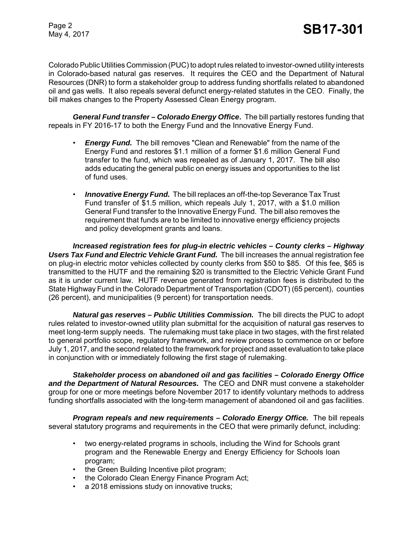Colorado Public Utilities Commission (PUC) to adopt rules related to investor-owned utility interests in Colorado-based natural gas reserves. It requires the CEO and the Department of Natural Resources (DNR) to form a stakeholder group to address funding shortfalls related to abandoned oil and gas wells. It also repeals several defunct energy-related statutes in the CEO. Finally, the bill makes changes to the Property Assessed Clean Energy program.

*General Fund transfer – Colorado Energy Office***.** The bill partially restores funding that repeals in FY 2016-17 to both the Energy Fund and the Innovative Energy Fund.

- *Energy Fund.*The bill removes "Clean and Renewable" from the name of the Energy Fund and restores \$1.1 million of a former \$1.6 million General Fund transfer to the fund, which was repealed as of January 1, 2017. The bill also adds educating the general public on energy issues and opportunities to the list of fund uses.
- *Innovative Energy Fund.* The bill replaces an off-the-top Severance Tax Trust Fund transfer of \$1.5 million, which repeals July 1, 2017, with a \$1.0 million General Fund transfer to the Innovative Energy Fund. The bill also removes the requirement that funds are to be limited to innovative energy efficiency projects and policy development grants and loans.

*Increased registration fees for plug-in electric vehicles – County clerks – Highway Users Tax Fund and Electric Vehicle Grant Fund.* The bill increases the annual registration fee on plug-in electric motor vehicles collected by county clerks from \$50 to \$85. Of this fee, \$65 is transmitted to the HUTF and the remaining \$20 is transmitted to the Electric Vehicle Grant Fund as it is under current law. HUTF revenue generated from registration fees is distributed to the State Highway Fund in the Colorado Department of Transportation (CDOT) (65 percent), counties (26 percent), and municipalities (9 percent) for transportation needs.

*Natural gas reserves – Public Utilities Commission.* The bill directs the PUC to adopt rules related to investor-owned utility plan submittal for the acquisition of natural gas reserves to meet long-term supply needs. The rulemaking must take place in two stages, with the first related to general portfolio scope, regulatory framework, and review process to commence on or before July 1, 2017, and the second related to the framework for project and asset evaluation to take place in conjunction with or immediately following the first stage of rulemaking.

*Stakeholder process on abandoned oil and gas facilities – Colorado Energy Office and the Department of Natural Resources.* The CEO and DNR must convene a stakeholder group for one or more meetings before November 2017 to identify voluntary methods to address funding shortfalls associated with the long-term management of abandoned oil and gas facilities.

*Program repeals and new requirements – Colorado Energy Office.* The bill repeals several statutory programs and requirements in the CEO that were primarily defunct, including:

- two energy-related programs in schools, including the Wind for Schools grant program and the Renewable Energy and Energy Efficiency for Schools loan program;
- the Green Building Incentive pilot program;
- the Colorado Clean Energy Finance Program Act;
- a 2018 emissions study on innovative trucks;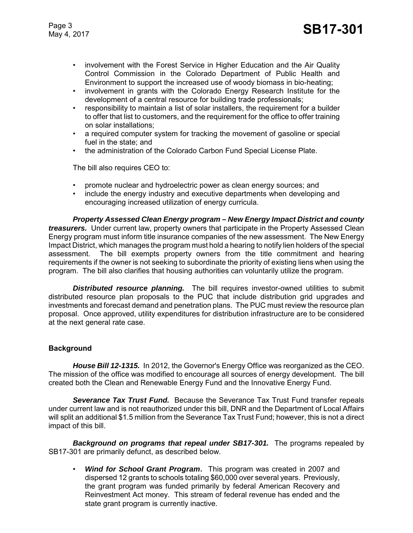- involvement with the Forest Service in Higher Education and the Air Quality Control Commission in the Colorado Department of Public Health and Environment to support the increased use of woody biomass in bio-heating;
- involvement in grants with the Colorado Energy Research Institute for the development of a central resource for building trade professionals;
- responsibility to maintain a list of solar installers, the requirement for a builder to offer that list to customers, and the requirement for the office to offer training on solar installations;
- a required computer system for tracking the movement of gasoline or special fuel in the state; and
- the administration of the Colorado Carbon Fund Special License Plate.

The bill also requires CEO to:

- promote nuclear and hydroelectric power as clean energy sources; and
- include the energy industry and executive departments when developing and encouraging increased utilization of energy curricula.

*Property Assessed Clean Energy program – New Energy Impact District and county treasurers.* Under current law, property owners that participate in the Property Assessed Clean Energy program must inform title insurance companies of the new assessment. The New Energy Impact District, which manages the program must hold a hearing to notify lien holders of the special assessment. The bill exempts property owners from the title commitment and hearing requirements if the owner is not seeking to subordinate the priority of existing liens when using the program. The bill also clarifies that housing authorities can voluntarily utilize the program.

*Distributed resource planning.* The bill requires investor-owned utilities to submit distributed resource plan proposals to the PUC that include distribution grid upgrades and investments and forecast demand and penetration plans. The PUC must review the resource plan proposal. Once approved, utility expenditures for distribution infrastructure are to be considered at the next general rate case.

#### **Background**

*House Bill 12-1315.* In 2012, the Governor's Energy Office was reorganized as the CEO. The mission of the office was modified to encourage all sources of energy development. The bill created both the Clean and Renewable Energy Fund and the Innovative Energy Fund.

*Severance Tax Trust Fund.* Because the Severance Tax Trust Fund transfer repeals under current law and is not reauthorized under this bill, DNR and the Department of Local Affairs will split an additional \$1.5 million from the Severance Tax Trust Fund; however, this is not a direct impact of this bill.

*Background on programs that repeal under SB17-301.* The programs repealed by SB17-301 are primarily defunct, as described below.

• *Wind for School Grant Program***.** This program was created in 2007 and dispersed 12 grants to schools totaling \$60,000 over several years. Previously, the grant program was funded primarily by federal American Recovery and Reinvestment Act money. This stream of federal revenue has ended and the state grant program is currently inactive.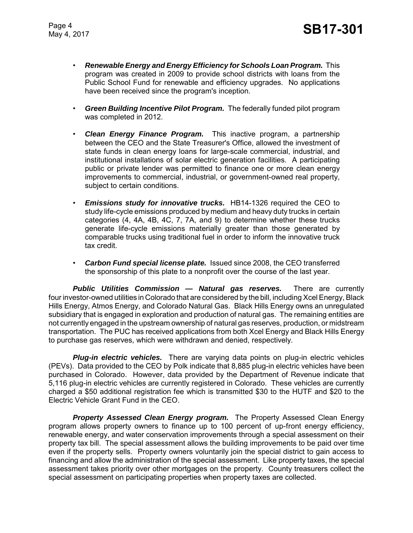- *Renewable Energy and Energy Efficiency for Schools Loan Program.* This program was created in 2009 to provide school districts with loans from the Public School Fund for renewable and efficiency upgrades. No applications have been received since the program's inception.
- *Green Building Incentive Pilot Program.* The federally funded pilot program was completed in 2012.
- *Clean Energy Finance Program.* This inactive program, a partnership between the CEO and the State Treasurer's Office, allowed the investment of state funds in clean energy loans for large-scale commercial, industrial, and institutional installations of solar electric generation facilities. A participating public or private lender was permitted to finance one or more clean energy improvements to commercial, industrial, or government-owned real property, subject to certain conditions.
- *Emissions study for innovative trucks.* HB14-1326 required the CEO to study life-cycle emissions produced by medium and heavy duty trucks in certain categories (4, 4A, 4B, 4C, 7, 7A, and 9) to determine whether these trucks generate life-cycle emissions materially greater than those generated by comparable trucks using traditional fuel in order to inform the innovative truck tax credit.
- *Carbon Fund special license plate.* Issued since 2008, the CEO transferred the sponsorship of this plate to a nonprofit over the course of the last year.

*Public Utilities Commission — Natural gas reserves.* There are currently four investor-owned utilities in Colorado that are considered by the bill, including Xcel Energy, Black Hills Energy, Atmos Energy, and Colorado Natural Gas. Black Hills Energy owns an unregulated subsidiary that is engaged in exploration and production of natural gas. The remaining entities are not currently engaged in the upstream ownership of natural gas reserves, production, or midstream transportation. The PUC has received applications from both Xcel Energy and Black Hills Energy to purchase gas reserves, which were withdrawn and denied, respectively.

*Plug-in electric vehicles.* There are varying data points on plug-in electric vehicles (PEVs). Data provided to the CEO by Polk indicate that 8,885 plug-in electric vehicles have been purchased in Colorado. However, data provided by the Department of Revenue indicate that 5,116 plug-in electric vehicles are currently registered in Colorado. These vehicles are currently charged a \$50 additional registration fee which is transmitted \$30 to the HUTF and \$20 to the Electric Vehicle Grant Fund in the CEO.

*Property Assessed Clean Energy program.* The Property Assessed Clean Energy program allows property owners to finance up to 100 percent of up-front energy efficiency, renewable energy, and water conservation improvements through a special assessment on their property tax bill. The special assessment allows the building improvements to be paid over time even if the property sells. Property owners voluntarily join the special district to gain access to financing and allow the administration of the special assessment. Like property taxes, the special assessment takes priority over other mortgages on the property. County treasurers collect the special assessment on participating properties when property taxes are collected.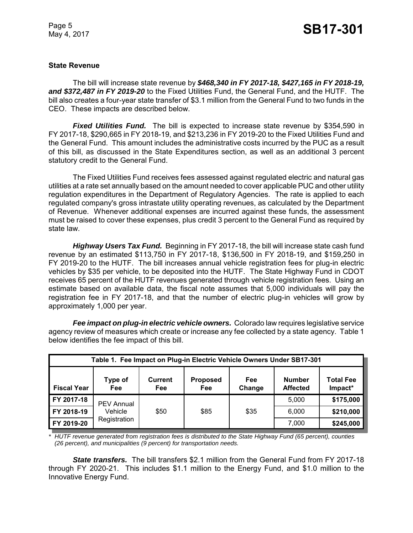#### **State Revenue**

The bill will increase state revenue by *\$468,340 in FY 2017-18, \$427,165 in FY 2018-19, and \$372,487 in FY 2019-20* to the Fixed Utilities Fund, the General Fund, and the HUTF. The bill also creates a four-year state transfer of \$3.1 million from the General Fund to two funds in the CEO. These impacts are described below.

*Fixed Utilities Fund.* The bill is expected to increase state revenue by \$354,590 in FY 2017-18, \$290,665 in FY 2018-19, and \$213,236 in FY 2019-20 to the Fixed Utilities Fund and the General Fund. This amount includes the administrative costs incurred by the PUC as a result of this bill, as discussed in the State Expenditures section, as well as an additional 3 percent statutory credit to the General Fund.

The Fixed Utilities Fund receives fees assessed against regulated electric and natural gas utilities at a rate set annually based on the amount needed to cover applicable PUC and other utility regulation expenditures in the Department of Regulatory Agencies. The rate is applied to each regulated company's gross intrastate utility operating revenues, as calculated by the Department of Revenue. Whenever additional expenses are incurred against these funds, the assessment must be raised to cover these expenses, plus credit 3 percent to the General Fund as required by state law.

*Highway Users Tax Fund.* Beginning in FY 2017-18, the bill will increase state cash fund revenue by an estimated \$113,750 in FY 2017-18, \$136,500 in FY 2018-19, and \$159,250 in FY 2019-20 to the HUTF. The bill increases annual vehicle registration fees for plug-in electric vehicles by \$35 per vehicle, to be deposited into the HUTF. The State Highway Fund in CDOT receives 65 percent of the HUTF revenues generated through vehicle registration fees. Using an estimate based on available data, the fiscal note assumes that 5,000 individuals will pay the registration fee in FY 2017-18, and that the number of electric plug-in vehicles will grow by approximately 1,000 per year.

*Fee impact on plug-in electric vehicle owners.* Colorado law requires legislative service agency review of measures which create or increase any fee collected by a state agency. Table 1 below identifies the fee impact of this bill.

| Table 1. Fee Impact on Plug-in Electric Vehicle Owners Under SB17-301 |                         |                       |                               |               |                                  |                             |
|-----------------------------------------------------------------------|-------------------------|-----------------------|-------------------------------|---------------|----------------------------------|-----------------------------|
| <b>Fiscal Year</b>                                                    | <b>Type of</b><br>Fee   | <b>Current</b><br>Fee | <b>Proposed</b><br><b>Fee</b> | Fee<br>Change | <b>Number</b><br><b>Affected</b> | <b>Total Fee</b><br>Impact* |
| FY 2017-18                                                            | <b>PEV Annual</b>       |                       |                               |               | 5,000                            | \$175,000                   |
| FY 2018-19                                                            | Vehicle<br>Registration | \$50                  | \$85                          | \$35          | 6,000                            | \$210,000                   |
| FY 2019-20                                                            |                         |                       |                               |               | 7,000                            | \$245,000                   |

*\* HUTF revenue generated from registration fees is distributed to the State Highway Fund (65 percent), counties (26 percent), and municipalities (9 percent) for transportation needs.* 

**State transfers.** The bill transfers \$2.1 million from the General Fund from FY 2017-18 through FY 2020-21. This includes \$1.1 million to the Energy Fund, and \$1.0 million to the Innovative Energy Fund.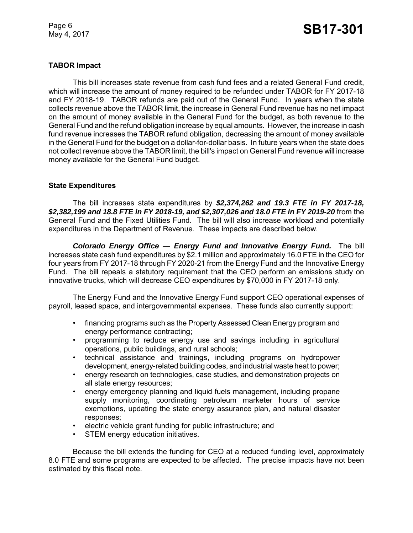### Page 6<br>May 4, 2017 **SB17-301**

#### **TABOR Impact**

This bill increases state revenue from cash fund fees and a related General Fund credit, which will increase the amount of money required to be refunded under TABOR for FY 2017-18 and FY 2018-19. TABOR refunds are paid out of the General Fund. In years when the state collects revenue above the TABOR limit, the increase in General Fund revenue has no net impact on the amount of money available in the General Fund for the budget, as both revenue to the General Fund and the refund obligation increase by equal amounts. However, the increase in cash fund revenue increases the TABOR refund obligation, decreasing the amount of money available in the General Fund for the budget on a dollar-for-dollar basis. In future years when the state does not collect revenue above the TABOR limit, the bill's impact on General Fund revenue will increase money available for the General Fund budget.

#### **State Expenditures**

The bill increases state expenditures by *\$2,374,262 and 19.3 FTE in FY 2017-18, \$2,382,199 and 18.8 FTE in FY 2018-19, and \$2,307,026 and 18.0 FTE in FY 2019-20* from the General Fund and the Fixed Utilities Fund. The bill will also increase workload and potentially expenditures in the Department of Revenue. These impacts are described below.

*Colorado Energy Office — Energy Fund and Innovative Energy Fund.* The bill increases state cash fund expenditures by \$2.1 million and approximately 16.0 FTE in the CEO for four years from FY 2017-18 through FY 2020-21 from the Energy Fund and the Innovative Energy Fund. The bill repeals a statutory requirement that the CEO perform an emissions study on innovative trucks, which will decrease CEO expenditures by \$70,000 in FY 2017-18 only.

The Energy Fund and the Innovative Energy Fund support CEO operational expenses of payroll, leased space, and intergovernmental expenses. These funds also currently support:

- financing programs such as the Property Assessed Clean Energy program and energy performance contracting;
- programming to reduce energy use and savings including in agricultural operations, public buildings, and rural schools;
- technical assistance and trainings, including programs on hydropower development, energy-related building codes, and industrial waste heat to power;
- energy research on technologies, case studies, and demonstration projects on all state energy resources;
- energy emergency planning and liquid fuels management, including propane supply monitoring, coordinating petroleum marketer hours of service exemptions, updating the state energy assurance plan, and natural disaster responses;
- electric vehicle grant funding for public infrastructure; and
- STEM energy education initiatives.

Because the bill extends the funding for CEO at a reduced funding level, approximately 8.0 FTE and some programs are expected to be affected. The precise impacts have not been estimated by this fiscal note.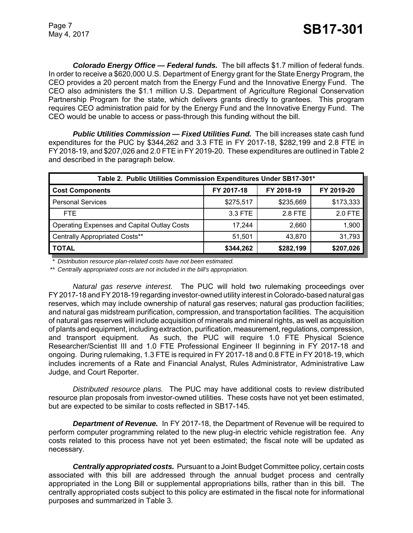*Colorado Energy Office — Federal funds.* The bill affects \$1.7 million of federal funds. In order to receive a \$620,000 U.S. Department of Energy grant for the State Energy Program, the CEO provides a 20 percent match from the Energy Fund and the Innovative Energy Fund. The CEO also administers the \$1.1 million U.S. Department of Agriculture Regional Conservation Partnership Program for the state, which delivers grants directly to grantees. This program requires CEO administration paid for by the Energy Fund and the Innovative Energy Fund. The CEO would be unable to access or pass-through this funding without the bill.

*Public Utilities Commission — Fixed Utilities Fund.* The bill increases state cash fund expenditures for the PUC by \$344,262 and 3.3 FTE in FY 2017-18, \$282,199 and 2.8 FTE in FY 2018-19, and \$207,026 and 2.0 FTE in FY 2019-20. These expenditures are outlined in Table 2 and described in the paragraph below.

| Table 2. Public Utilities Commission Expenditures Under SB17-301* |            |            |            |  |  |
|-------------------------------------------------------------------|------------|------------|------------|--|--|
| <b>Cost Components</b>                                            | FY 2017-18 | FY 2018-19 | FY 2019-20 |  |  |
| <b>Personal Services</b>                                          | \$275,517  | \$235,669  | \$173,333  |  |  |
| FTE.                                                              | 3.3 FTE    | 2.8 FTE    | 2.0 FTE    |  |  |
| Operating Expenses and Capital Outlay Costs                       | 17.244     | 2.660      | 1,900      |  |  |
| Centrally Appropriated Costs**                                    | 51,501     | 43,870     | 31,793     |  |  |
| I TOTAL                                                           | \$344,262  | \$282,199  | \$207,026  |  |  |

*\* Distribution resource plan-related costs have not been estimated.*

*\*\* Centrally appropriated costs are not included in the bill's appropriation.*

*Natural gas reserve interest.* The PUC will hold two rulemaking proceedings over FY 2017-18 and FY 2018-19 regarding investor-owned utility interest in Colorado-based natural gas reserves, which may include ownership of natural gas reserves; natural gas production facilities; and natural gas midstream purification, compression, and transportation facilities. The acquisition of natural gas reserves will include acquisition of minerals and mineral rights, as well as acquisition of plants and equipment, including extraction, purification, measurement, regulations, compression, and transport equipment. As such, the PUC will require 1.0 FTE Physical Science Researcher/Scientist III and 1.0 FTE Professional Engineer II beginning in FY 2017-18 and ongoing. During rulemaking, 1.3 FTE is required in FY 2017-18 and 0.8 FTE in FY 2018-19, which includes increments of a Rate and Financial Analyst, Rules Administrator, Administrative Law Judge, and Court Reporter.

*Distributed resource plans.* The PUC may have additional costs to review distributed resource plan proposals from investor-owned utilities. These costs have not yet been estimated, but are expected to be similar to costs reflected in SB17-145.

*Department of Revenue.* In FY 2017-18, the Department of Revenue will be required to perform computer programming related to the new plug-in electric vehicle registration fee. Any costs related to this process have not yet been estimated; the fiscal note will be updated as necessary.

*Centrally appropriated costs.* Pursuant to a Joint Budget Committee policy, certain costs associated with this bill are addressed through the annual budget process and centrally appropriated in the Long Bill or supplemental appropriations bills, rather than in this bill. The centrally appropriated costs subject to this policy are estimated in the fiscal note for informational purposes and summarized in Table 3.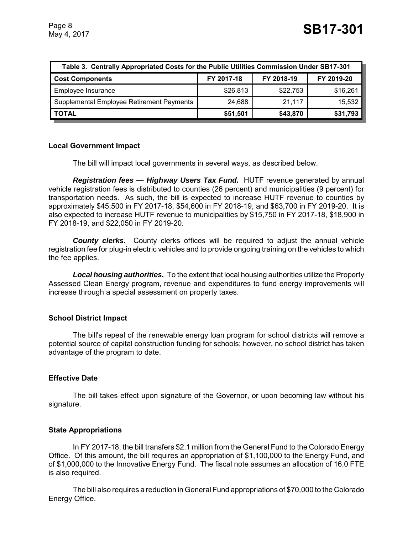| Table 3. Centrally Appropriated Costs for the Public Utilities Commission Under SB17-301 |            |            |            |  |  |
|------------------------------------------------------------------------------------------|------------|------------|------------|--|--|
| <b>Cost Components</b>                                                                   | FY 2017-18 | FY 2018-19 | FY 2019-20 |  |  |
| Employee Insurance                                                                       | \$26,813   | \$22,753   | \$16,261   |  |  |
| Supplemental Employee Retirement Payments                                                | 24,688     | 21,117     | 15,532     |  |  |
| <b>TOTAL</b>                                                                             | \$51,501   | \$43,870   | \$31,793   |  |  |

#### **Local Government Impact**

The bill will impact local governments in several ways, as described below.

**Registration fees — Highway Users Tax Fund.** HUTF revenue generated by annual vehicle registration fees is distributed to counties (26 percent) and municipalities (9 percent) for transportation needs. As such, the bill is expected to increase HUTF revenue to counties by approximately \$45,500 in FY 2017-18, \$54,600 in FY 2018-19, and \$63,700 in FY 2019-20. It is also expected to increase HUTF revenue to municipalities by \$15,750 in FY 2017-18, \$18,900 in FY 2018-19, and \$22,050 in FY 2019-20.

**County clerks.** County clerks offices will be required to adjust the annual vehicle registration fee for plug-in electric vehicles and to provide ongoing training on the vehicles to which the fee applies.

*Local housing authorities.* To the extent that local housing authorities utilize the Property Assessed Clean Energy program, revenue and expenditures to fund energy improvements will increase through a special assessment on property taxes.

#### **School District Impact**

The bill's repeal of the renewable energy loan program for school districts will remove a potential source of capital construction funding for schools; however, no school district has taken advantage of the program to date.

#### **Effective Date**

The bill takes effect upon signature of the Governor, or upon becoming law without his signature.

#### **State Appropriations**

In FY 2017-18, the bill transfers \$2.1 million from the General Fund to the Colorado Energy Office. Of this amount, the bill requires an appropriation of \$1,100,000 to the Energy Fund, and of \$1,000,000 to the Innovative Energy Fund. The fiscal note assumes an allocation of 16.0 FTE is also required.

The bill also requires a reduction in General Fund appropriations of \$70,000 to the Colorado Energy Office.